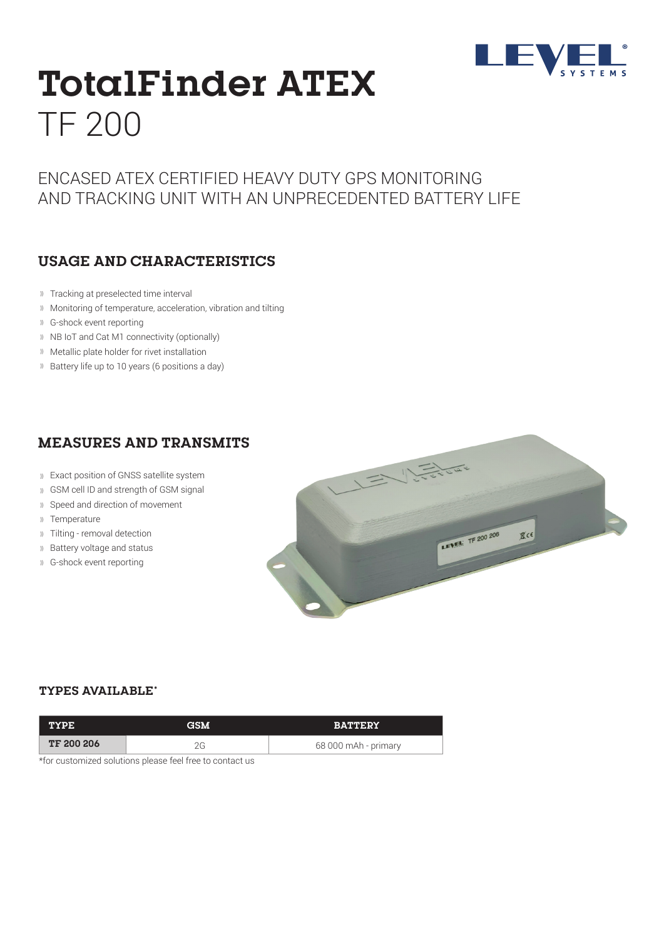

# **TotalFinder ATEX** TF 200

# ENCASED ATEX CERTIFIED HEAVY DUTY GPS MONITORING AND TRACKING UNIT WITH AN UNPRECEDENTED BATTERY LIFE

### **USAGE AND CHARACTERISTICS**

- Tracking at preselected time interval
- Monitoring of temperature, acceleration, vibration and tilting
- G-shock event reporting
- <sup>1)</sup> NB IoT and Cat M1 connectivity (optionally)
- Metallic plate holder for rivet installation
- Battery life up to 10 years (6 positions a day)

## **MEASURES AND TRANSMITS**

- Exact position of GNSS satellite system
- GSM cell ID and strength of GSM signal
- Speed and direction of movement
- Temperature
- Tilting removal detection
- Battery voltage and status
- G-shock event reporting



#### **TYPES AVAILABLE\***

| <b>TYPE</b>       | <b>GSM</b> | <b>BATTERY</b>       |
|-------------------|------------|----------------------|
| <b>TF 200 206</b> |            | 68 000 mAh - primary |

\*for customized solutions please feel free to contact us